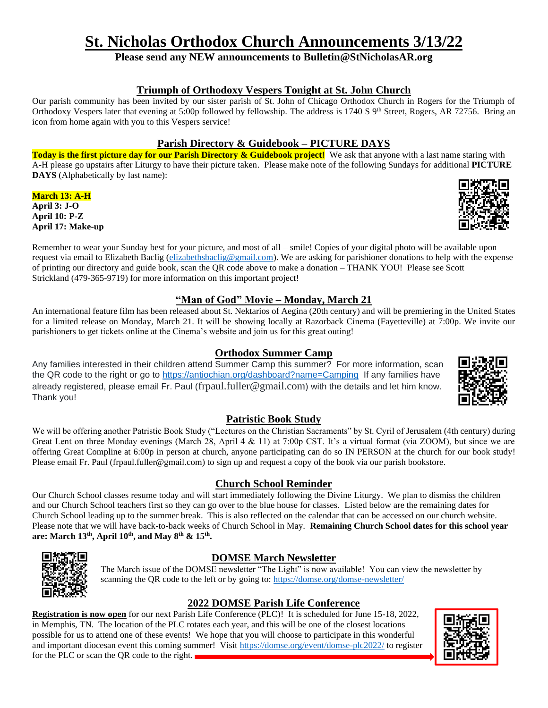# **St. Nicholas Orthodox Church Announcements 3/13/22**

**Please send any NEW announcements to Bulletin@StNicholasAR.org**

#### **Triumph of Orthodoxy Vespers Tonight at St. John Church**

Our parish community has been invited by our sister parish of St. John of Chicago Orthodox Church in Rogers for the Triumph of Orthodoxy Vespers later that evening at 5:00p followed by fellowship. The address is 1740 S 9<sup>th</sup> Street, Rogers, AR 72756. Bring an icon from home again with you to this Vespers service!

#### **Parish Directory & Guidebook – PICTURE DAYS**

**Today is the first picture day for our Parish Directory & Guidebook project!** We ask that anyone with a last name staring with A-H please go upstairs after Liturgy to have their picture taken. Please make note of the following Sundays for additional **PICTURE DAYS** (Alphabetically by last name):

**March 13: A-H April 3: J-O April 10: P-Z April 17: Make-up**



Remember to wear your Sunday best for your picture, and most of all – smile! Copies of your digital photo will be available upon request via email to Elizabeth Baclig [\(elizabethsbaclig@gmail.com\)](mailto:elizabethsbaclig@gmail.com). We are asking for parishioner donations to help with the expense of printing our directory and guide book, scan the QR code above to make a donation – THANK YOU! Please see Scott Strickland (479-365-9719) for more information on this important project!

## **"Man of God" Movie – Monday, March 21**

An international feature film has been released about St. Nektarios of Aegina (20th century) and will be premiering in the United States for a limited release on Monday, March 21. It will be showing locally at Razorback Cinema (Fayetteville) at 7:00p. We invite our parishioners to get tickets online at the Cinema's website and join us for this great outing!

#### **Orthodox Summer Camp**

Any families interested in their children attend Summer Camp this summer? For more information, scan the QR code to the right or go to<https://antiochian.org/dashboard?name=Camping>If any families have already registered, please email Fr. Paul ([frpaul.fuller@gmail.com](mailto:frpaul.fuller@gmail.com)) with the details and let him know. Thank you!

## **Patristic Book Study**

We will be offering another Patristic Book Study ("Lectures on the Christian Sacraments" by St. Cyril of Jerusalem (4th century) during Great Lent on three Monday evenings (March 28, April 4 & 11) at 7:00p CST. It's a virtual format (via ZOOM), but since we are offering Great Compline at 6:00p in person at church, anyone participating can do so IN PERSON at the church for our book study! Please email Fr. Paul (frpaul.fuller@gmail.com) to sign up and request a copy of the book via our parish bookstore.

## **Church School Reminder**

Our Church School classes resume today and will start immediately following the Divine Liturgy. We plan to dismiss the children and our Church School teachers first so they can go over to the blue house for classes. Listed below are the remaining dates for Church School leading up to the summer break. This is also reflected on the calendar that can be accessed on our church website. Please note that we will have back-to-back weeks of Church School in May. **Remaining Church School dates for this school year are: March 13th, April 10th, and May 8th & 15th .**



## **DOMSE March Newsletter**

The March issue of the DOMSE newsletter "The Light" is now available! You can view the newsletter by scanning the QR code to the left or by going to:<https://domse.org/domse-newsletter/>

# **2022 DOMSE Parish Life Conference**

**Registration is now open** for our next Parish Life Conference (PLC)! It is scheduled for June 15-18, 2022, in Memphis, TN. The location of the PLC rotates each year, and this will be one of the closest locations possible for us to attend one of these events! We hope that you will choose to participate in this wonderful and important diocesan event this coming summer! Visit<https://domse.org/event/domse-plc2022/> to register for the PLC or scan the QR code to the right.